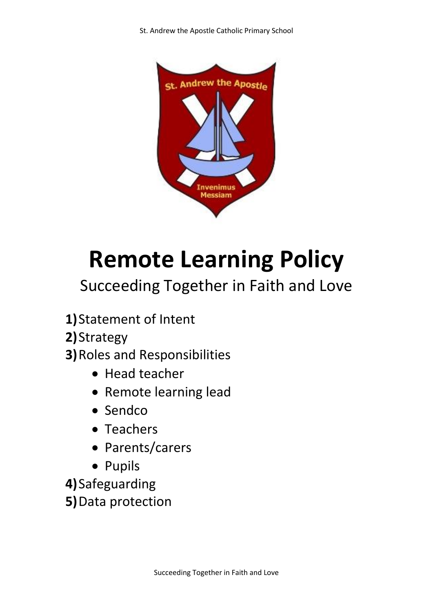

# **Remote Learning Policy**

# Succeeding Together in Faith and Love

- **1)**Statement of Intent
- **2)**Strategy
- **3)**Roles and Responsibilities
	- Head teacher
	- Remote learning lead
	- Sendco
	- Teachers
	- Parents/carers
	- Pupils
- **4)**Safeguarding
- **5)**Data protection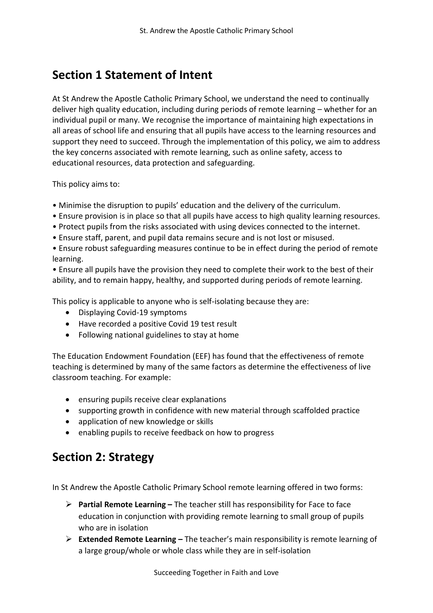# **Section 1 Statement of Intent**

At St Andrew the Apostle Catholic Primary School, we understand the need to continually deliver high quality education, including during periods of remote learning – whether for an individual pupil or many. We recognise the importance of maintaining high expectations in all areas of school life and ensuring that all pupils have access to the learning resources and support they need to succeed. Through the implementation of this policy, we aim to address the key concerns associated with remote learning, such as online safety, access to educational resources, data protection and safeguarding.

This policy aims to:

- Minimise the disruption to pupils' education and the delivery of the curriculum.
- Ensure provision is in place so that all pupils have access to high quality learning resources.
- Protect pupils from the risks associated with using devices connected to the internet.
- Ensure staff, parent, and pupil data remains secure and is not lost or misused.

• Ensure robust safeguarding measures continue to be in effect during the period of remote learning.

• Ensure all pupils have the provision they need to complete their work to the best of their ability, and to remain happy, healthy, and supported during periods of remote learning.

This policy is applicable to anyone who is self-isolating because they are:

- Displaying Covid-19 symptoms
- Have recorded a positive Covid 19 test result
- Following national guidelines to stay at home

The Education Endowment Foundation (EEF) has found that the effectiveness of remote teaching is determined by many of the same factors as determine the effectiveness of live classroom teaching. For example:

- ensuring pupils receive clear explanations
- supporting growth in confidence with new material through scaffolded practice
- application of new knowledge or skills
- enabling pupils to receive feedback on how to progress

### **Section 2: Strategy**

In St Andrew the Apostle Catholic Primary School remote learning offered in two forms:

- ➢ **Partial Remote Learning –** The teacher still has responsibility for Face to face education in conjunction with providing remote learning to small group of pupils who are in isolation
- ➢ **Extended Remote Learning –** The teacher's main responsibility is remote learning of a large group/whole or whole class while they are in self-isolation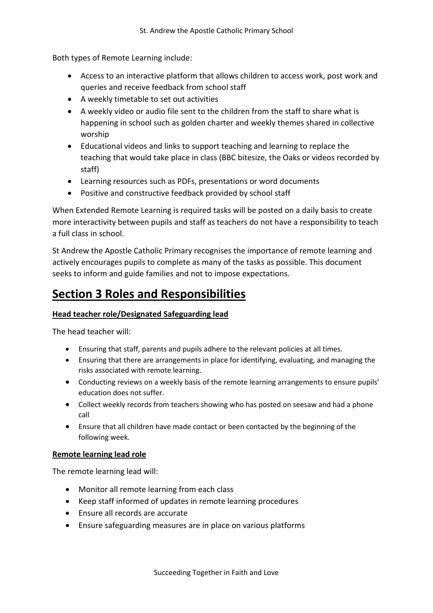Both types of Remote Learning include:

- Access to an interactive platform that allows children to access work, post work and queries and receive feedback from school staff
- A weekly timetable to set out activities
- A weekly video or audio file sent to the children from the staff to share what is happening in school such as golden charter and weekly themes shared in collective worship
- Educational videos and links to support teaching and learning to replace the teaching that would take place in class (BBC bitesize, the Oaks or videos recorded by staff)
- Learning resources such as PDFs, presentations or word documents
- Positive and constructive feedback provided by school staff

When Extended Remote Learning is required tasks will be posted on a daily basis to create more interactivity between pupils and staff as teachers do not have a responsibility to teach a full class in school.

St Andrew the Apostle Catholic Primary recognises the importance of remote learning and actively encourages pupils to complete as many of the tasks as possible. This document seeks to inform and guide families and not to impose expectations.

# **Section 3 Roles and Responsibilities**

#### **Head teacher role/Designated Safeguarding lead**

The head teacher will:

- Ensuring that staff, parents and pupils adhere to the relevant policies at all times.
- Ensuring that there are arrangements in place for identifying, evaluating, and managing the risks associated with remote learning.
- Conducting reviews on a weekly basis of the remote learning arrangements to ensure pupils' education does not suffer.
- Collect weekly records from teachers showing who has posted on seesaw and had a phone call
- Ensure that all children have made contact or been contacted by the beginning of the following week.

#### **Remote learning lead role**

The remote learning lead will:

- Monitor all remote learning from each class
- Keep staff informed of updates in remote learning procedures
- Ensure all records are accurate
- Ensure safeguarding measures are in place on various platforms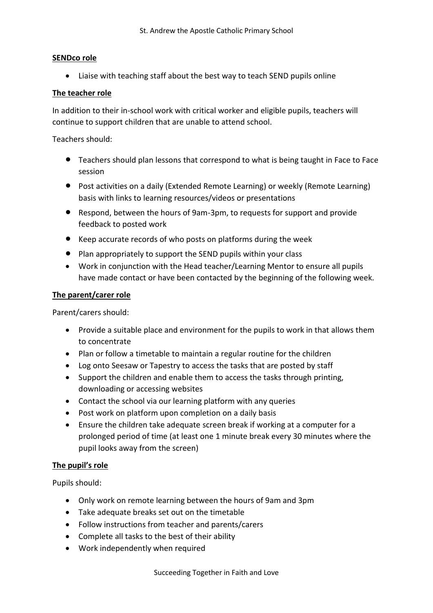#### **SENDco role**

• Liaise with teaching staff about the best way to teach SEND pupils online

#### **The teacher role**

In addition to their in-school work with critical worker and eligible pupils, teachers will continue to support children that are unable to attend school.

Teachers should:

- Teachers should plan lessons that correspond to what is being taught in Face to Face session
- Post activities on a daily (Extended Remote Learning) or weekly (Remote Learning) basis with links to learning resources/videos or presentations
- Respond, between the hours of 9am-3pm, to requests for support and provide feedback to posted work
- Keep accurate records of who posts on platforms during the week
- Plan appropriately to support the SEND pupils within your class
- Work in conjunction with the Head teacher/Learning Mentor to ensure all pupils have made contact or have been contacted by the beginning of the following week.

#### **The parent/carer role**

Parent/carers should:

- Provide a suitable place and environment for the pupils to work in that allows them to concentrate
- Plan or follow a timetable to maintain a regular routine for the children
- Log onto Seesaw or Tapestry to access the tasks that are posted by staff
- Support the children and enable them to access the tasks through printing, downloading or accessing websites
- Contact the school via our learning platform with any queries
- Post work on platform upon completion on a daily basis
- Ensure the children take adequate screen break if working at a computer for a prolonged period of time (at least one 1 minute break every 30 minutes where the pupil looks away from the screen)

#### **The pupil's role**

Pupils should:

- Only work on remote learning between the hours of 9am and 3pm
- Take adequate breaks set out on the timetable
- Follow instructions from teacher and parents/carers
- Complete all tasks to the best of their ability
- Work independently when required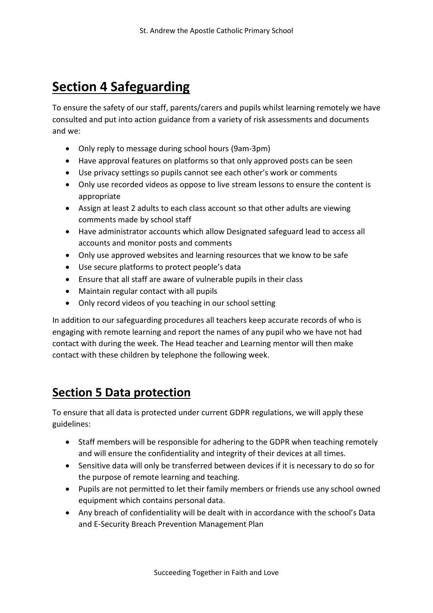# **Section 4 Safeguarding**

To ensure the safety of our staff, parents/carers and pupils whilst learning remotely we have consulted and put into action guidance from a variety of risk assessments and documents and we:

- Only reply to message during school hours (9am-3pm)
- Have approval features on platforms so that only approved posts can be seen
- Use privacy settings so pupils cannot see each other's work or comments
- Only use recorded videos as oppose to live stream lessons to ensure the content is appropriate
- Assign at least 2 adults to each class account so that other adults are viewing comments made by school staff
- Have administrator accounts which allow Designated safeguard lead to access all accounts and monitor posts and comments
- Only use approved websites and learning resources that we know to be safe
- Use secure platforms to protect people's data
- Ensure that all staff are aware of vulnerable pupils in their class
- Maintain regular contact with all pupils
- Only record videos of you teaching in our school setting

In addition to our safeguarding procedures all teachers keep accurate records of who is engaging with remote learning and report the names of any pupil who we have not had contact with during the week. The Head teacher and Learning mentor will then make contact with these children by telephone the following week.

# **Section 5 Data protection**

To ensure that all data is protected under current GDPR regulations, we will apply these guidelines:

- Staff members will be responsible for adhering to the GDPR when teaching remotely and will ensure the confidentiality and integrity of their devices at all times.
- Sensitive data will only be transferred between devices if it is necessary to do so for the purpose of remote learning and teaching.
- Pupils are not permitted to let their family members or friends use any school owned equipment which contains personal data.
- Any breach of confidentiality will be dealt with in accordance with the school's Data and E-Security Breach Prevention Management Plan